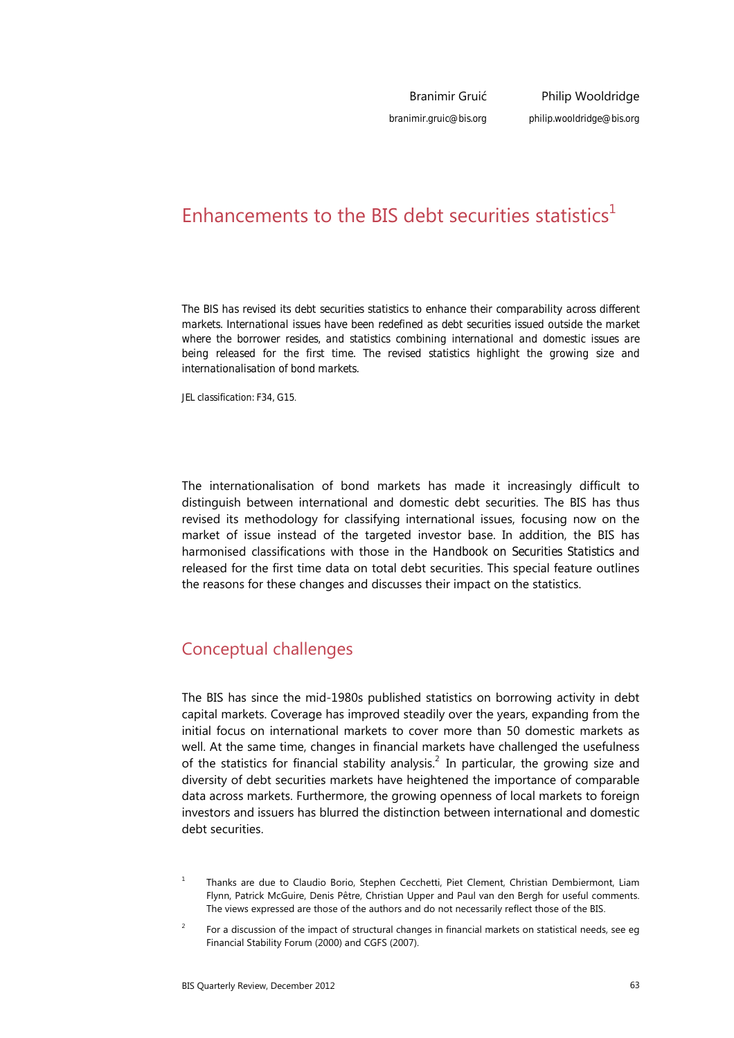Branimir Gruić *branimir.gruic@bis.org*

# Enhancements to the BIS debt securities statistics<sup>1</sup>

*The BIS has revised its debt securities statistics to enhance their comparability across different markets. International issues have been redefined as debt securities issued outside the market where the borrower resides, and statistics combining international and domestic issues are being released for the first time. The revised statistics highlight the growing size and internationalisation of bond markets.* 

*JEL classification: F34, G15*.

The internationalisation of bond markets has made it increasingly difficult to distinguish between international and domestic debt securities. The BIS has thus revised its methodology for classifying international issues, focusing now on the market of issue instead of the targeted investor base. In addition, the BIS has harmonised classifications with those in the *Handbook on Securities Statistics* and released for the first time data on total debt securities. This special feature outlines the reasons for these changes and discusses their impact on the statistics.

## Conceptual challenges

The BIS has since the mid-1980s published statistics on borrowing activity in debt capital markets. Coverage has improved steadily over the years, expanding from the initial focus on international markets to cover more than 50 domestic markets as well. At the same time, changes in financial markets have challenged the usefulness of the statistics for financial stability analysis.<sup>2</sup> In particular, the growing size and diversity of debt securities markets have heightened the importance of comparable data across markets. Furthermore, the growing openness of local markets to foreign investors and issuers has blurred the distinction between international and domestic debt securities.

- 1 Thanks are due to Claudio Borio, Stephen Cecchetti, Piet Clement, Christian Dembiermont, Liam Flynn, Patrick McGuire, Denis Pêtre, Christian Upper and Paul van den Bergh for useful comments. The views expressed are those of the authors and do not necessarily reflect those of the BIS.
- $\overline{2}$  For a discussion of the impact of structural changes in financial markets on statistical needs, see eg Financial Stability Forum (2000) and CGFS (2007).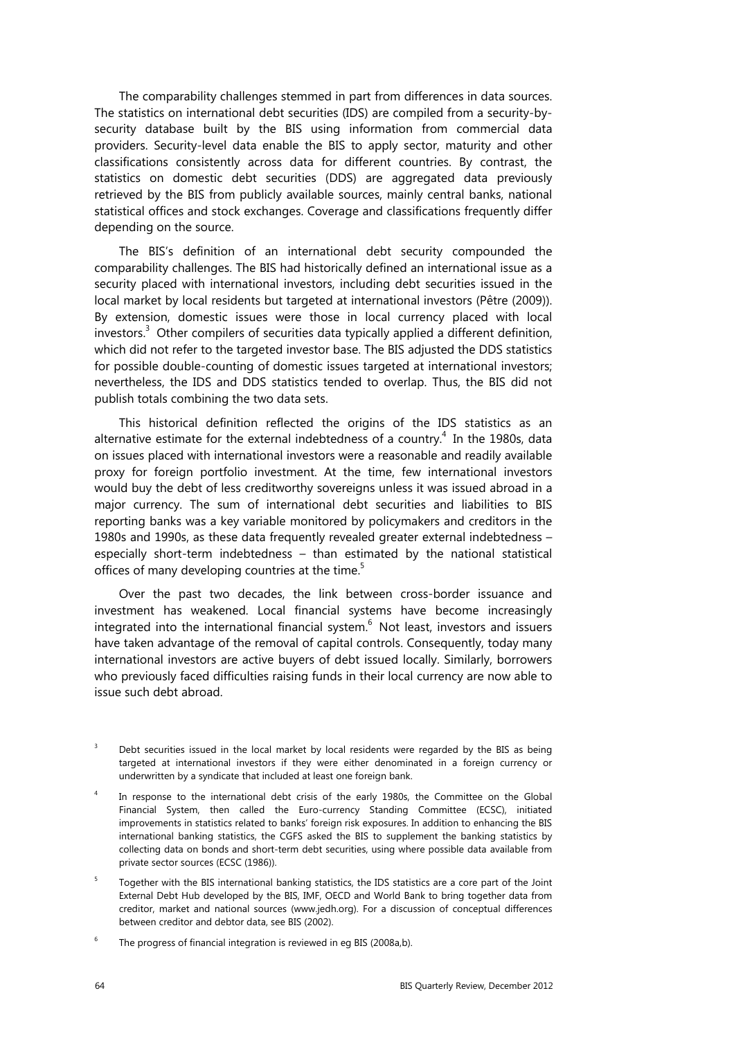The comparability challenges stemmed in part from differences in data sources. The statistics on international debt securities (IDS) are compiled from a security-bysecurity database built by the BIS using information from commercial data providers. Security-level data enable the BIS to apply sector, maturity and other classifications consistently across data for different countries. By contrast, the statistics on domestic debt securities (DDS) are aggregated data previously retrieved by the BIS from publicly available sources, mainly central banks, national statistical offices and stock exchanges. Coverage and classifications frequently differ depending on the source.

The BIS's definition of an international debt security compounded the comparability challenges. The BIS had historically defined an international issue as a security placed with international investors, including debt securities issued in the local market by local residents but targeted at international investors (Pêtre (2009)). By extension, domestic issues were those in local currency placed with local investors. $3$  Other compilers of securities data typically applied a different definition, which did not refer to the targeted investor base. The BIS adjusted the DDS statistics for possible double-counting of domestic issues targeted at international investors; nevertheless, the IDS and DDS statistics tended to overlap. Thus, the BIS did not publish totals combining the two data sets.

This historical definition reflected the origins of the IDS statistics as an alternative estimate for the external indebtedness of a country.<sup>4</sup> In the 1980s, data on issues placed with international investors were a reasonable and readily available proxy for foreign portfolio investment. At the time, few international investors would buy the debt of less creditworthy sovereigns unless it was issued abroad in a major currency. The sum of international debt securities and liabilities to BIS reporting banks was a key variable monitored by policymakers and creditors in the 1980s and 1990s, as these data frequently revealed greater external indebtedness – especially short-term indebtedness – than estimated by the national statistical offices of many developing countries at the time.<sup>5</sup>

Over the past two decades, the link between cross-border issuance and investment has weakened. Local financial systems have become increasingly integrated into the international financial system. $^6$  Not least, investors and issuers have taken advantage of the removal of capital controls. Consequently, today many international investors are active buyers of debt issued locally. Similarly, borrowers who previously faced difficulties raising funds in their local currency are now able to issue such debt abroad.

- 3 Debt securities issued in the local market by local residents were regarded by the BIS as being targeted at international investors if they were either denominated in a foreign currency or underwritten by a syndicate that included at least one foreign bank.
- 4 In response to the international debt crisis of the early 1980s, the Committee on the Global Financial System, then called the Euro-currency Standing Committee (ECSC), initiated improvements in statistics related to banks' foreign risk exposures. In addition to enhancing the BIS international banking statistics, the CGFS asked the BIS to supplement the banking statistics by collecting data on bonds and short-term debt securities, using where possible data available from private sector sources (ECSC (1986)).
- 5 Together with the BIS international banking statistics, the IDS statistics are a core part of the Joint External Debt Hub developed by the BIS, IMF, OECD and World Bank to bring together data from creditor, market and national sources (www.jedh.org). For a discussion of conceptual differences between creditor and debtor data, see BIS (2002).
- 6 The progress of financial integration is reviewed in eg BIS (2008a,b).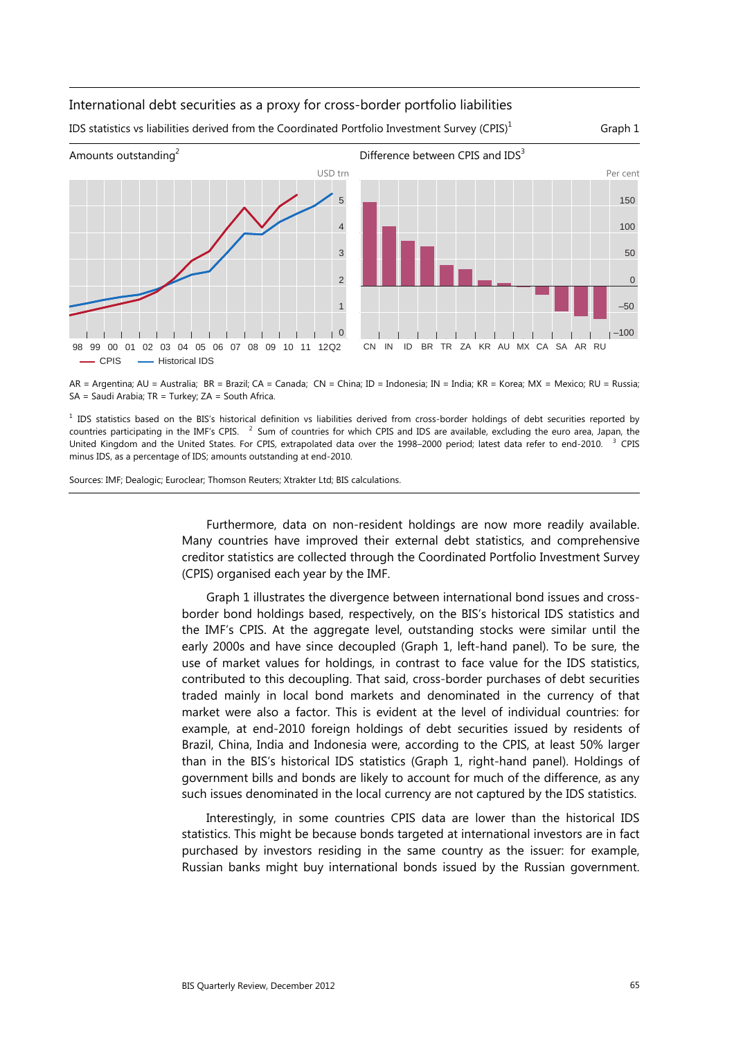#### International debt securities as a proxy for cross-border portfolio liabilities

IDS statistics vs liabilities derived from the Coordinated Portfolio Investment Survey (CPIS)<sup>1</sup>



AR = Argentina; AU = Australia; BR = Brazil; CA = Canada; CN = China; ID = Indonesia; IN = India; KR = Korea; MX = Mexico; RU = Russia; SA = Saudi Arabia; TR = Turkey; ZA = South Africa.

<sup>1</sup> IDS statistics based on the BIS's historical definition vs liabilities derived from cross-border holdings of debt securities reported by countries participating in the IMF's CPIS. <sup>2</sup> Sum of countries for which CPIS and IDS are available, excluding the euro area, Japan, the United Kingdom and the United States. For CPIS, extrapolated data over the 1998–2000 period; latest data refer to end-2010. <sup>3</sup> CPIS minus IDS, as a percentage of IDS; amounts outstanding at end-2010.

Sources: IMF; Dealogic; Euroclear; Thomson Reuters; Xtrakter Ltd; BIS calculations.

Furthermore, data on non-resident holdings are now more readily available. Many countries have improved their external debt statistics, and comprehensive creditor statistics are collected through the Coordinated Portfolio Investment Survey (CPIS) organised each year by the IMF.

Graph 1 illustrates the divergence between international bond issues and crossborder bond holdings based, respectively, on the BIS's historical IDS statistics and the IMF's CPIS. At the aggregate level, outstanding stocks were similar until the early 2000s and have since decoupled (Graph 1, left-hand panel). To be sure, the use of market values for holdings, in contrast to face value for the IDS statistics, contributed to this decoupling. That said, cross-border purchases of debt securities traded mainly in local bond markets and denominated in the currency of that market were also a factor. This is evident at the level of individual countries: for example, at end-2010 foreign holdings of debt securities issued by residents of Brazil, China, India and Indonesia were, according to the CPIS, at least 50% larger than in the BIS's historical IDS statistics (Graph 1, right-hand panel). Holdings of government bills and bonds are likely to account for much of the difference, as any such issues denominated in the local currency are not captured by the IDS statistics.

Interestingly, in some countries CPIS data are lower than the historical IDS statistics. This might be because bonds targeted at international investors are in fact purchased by investors residing in the same country as the issuer: for example, Russian banks might buy international bonds issued by the Russian government.

Graph 1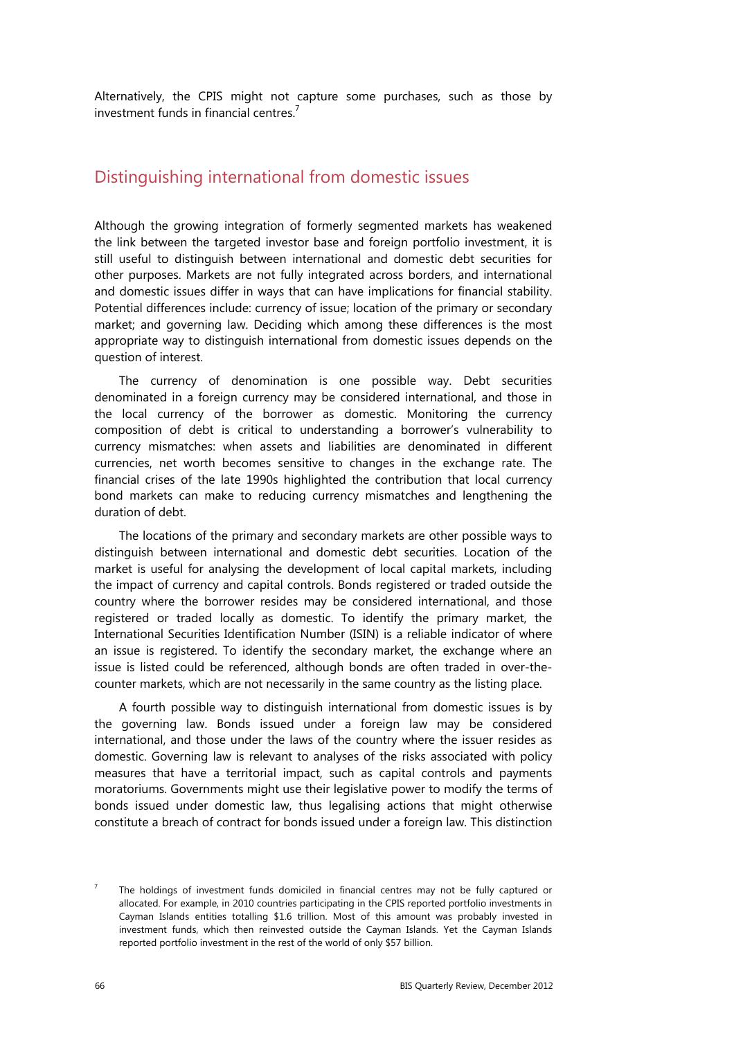Alternatively, the CPIS might not capture some purchases, such as those by investment funds in financial centres.<sup>7</sup>

## Distinguishing international from domestic issues

Although the growing integration of formerly segmented markets has weakened the link between the targeted investor base and foreign portfolio investment, it is still useful to distinguish between international and domestic debt securities for other purposes. Markets are not fully integrated across borders, and international and domestic issues differ in ways that can have implications for financial stability. Potential differences include: currency of issue; location of the primary or secondary market; and governing law. Deciding which among these differences is the most appropriate way to distinguish international from domestic issues depends on the question of interest.

The currency of denomination is one possible way. Debt securities denominated in a foreign currency may be considered international, and those in the local currency of the borrower as domestic. Monitoring the currency composition of debt is critical to understanding a borrower's vulnerability to currency mismatches: when assets and liabilities are denominated in different currencies, net worth becomes sensitive to changes in the exchange rate. The financial crises of the late 1990s highlighted the contribution that local currency bond markets can make to reducing currency mismatches and lengthening the duration of debt.

The locations of the primary and secondary markets are other possible ways to distinguish between international and domestic debt securities. Location of the market is useful for analysing the development of local capital markets, including the impact of currency and capital controls. Bonds registered or traded outside the country where the borrower resides may be considered international, and those registered or traded locally as domestic. To identify the primary market, the International Securities Identification Number (ISIN) is a reliable indicator of where an issue is registered. To identify the secondary market, the exchange where an issue is listed could be referenced, although bonds are often traded in over-thecounter markets, which are not necessarily in the same country as the listing place.

A fourth possible way to distinguish international from domestic issues is by the governing law. Bonds issued under a foreign law may be considered international, and those under the laws of the country where the issuer resides as domestic. Governing law is relevant to analyses of the risks associated with policy measures that have a territorial impact, such as capital controls and payments moratoriums. Governments might use their legislative power to modify the terms of bonds issued under domestic law, thus legalising actions that might otherwise constitute a breach of contract for bonds issued under a foreign law. This distinction

<sup>7</sup> The holdings of investment funds domiciled in financial centres may not be fully captured or allocated. For example, in 2010 countries participating in the CPIS reported portfolio investments in Cayman Islands entities totalling \$1.6 trillion. Most of this amount was probably invested in investment funds, which then reinvested outside the Cayman Islands. Yet the Cayman Islands reported portfolio investment in the rest of the world of only \$57 billion.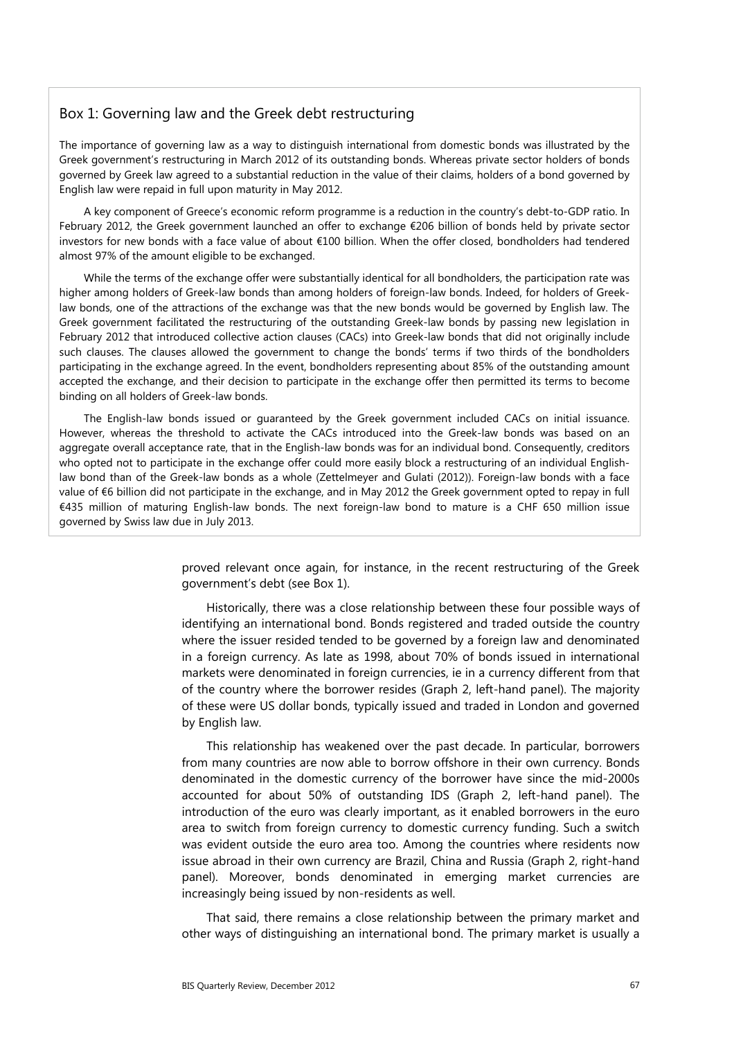#### Box 1: Governing law and the Greek debt restructuring

The importance of governing law as a way to distinguish international from domestic bonds was illustrated by the Greek government's restructuring in March 2012 of its outstanding bonds. Whereas private sector holders of bonds governed by Greek law agreed to a substantial reduction in the value of their claims, holders of a bond governed by English law were repaid in full upon maturity in May 2012.

A key component of Greece's economic reform programme is a reduction in the country's debt-to-GDP ratio. In February 2012, the Greek government launched an offer to exchange €206 billion of bonds held by private sector investors for new bonds with a face value of about €100 billion. When the offer closed, bondholders had tendered almost 97% of the amount eligible to be exchanged.

While the terms of the exchange offer were substantially identical for all bondholders, the participation rate was higher among holders of Greek-law bonds than among holders of foreign-law bonds. Indeed, for holders of Greeklaw bonds, one of the attractions of the exchange was that the new bonds would be governed by English law. The Greek government facilitated the restructuring of the outstanding Greek-law bonds by passing new legislation in February 2012 that introduced collective action clauses (CACs) into Greek-law bonds that did not originally include such clauses. The clauses allowed the government to change the bonds' terms if two thirds of the bondholders participating in the exchange agreed. In the event, bondholders representing about 85% of the outstanding amount accepted the exchange, and their decision to participate in the exchange offer then permitted its terms to become binding on all holders of Greek-law bonds.

The English-law bonds issued or guaranteed by the Greek government included CACs on initial issuance. However, whereas the threshold to activate the CACs introduced into the Greek-law bonds was based on an aggregate overall acceptance rate, that in the English-law bonds was for an individual bond. Consequently, creditors who opted not to participate in the exchange offer could more easily block a restructuring of an individual Englishlaw bond than of the Greek-law bonds as a whole (Zettelmeyer and Gulati (2012)). Foreign-law bonds with a face value of €6 billion did not participate in the exchange, and in May 2012 the Greek government opted to repay in full €435 million of maturing English-law bonds. The next foreign-law bond to mature is a CHF 650 million issue governed by Swiss law due in July 2013.

> proved relevant once again, for instance, in the recent restructuring of the Greek government's debt (see Box 1).

> Historically, there was a close relationship between these four possible ways of identifying an international bond. Bonds registered and traded outside the country where the issuer resided tended to be governed by a foreign law and denominated in a foreign currency. As late as 1998, about 70% of bonds issued in international markets were denominated in foreign currencies, ie in a currency different from that of the country where the borrower resides (Graph 2, left-hand panel). The majority of these were US dollar bonds, typically issued and traded in London and governed by English law.

> This relationship has weakened over the past decade. In particular, borrowers from many countries are now able to borrow offshore in their own currency. Bonds denominated in the domestic currency of the borrower have since the mid-2000s accounted for about 50% of outstanding IDS (Graph 2, left-hand panel). The introduction of the euro was clearly important, as it enabled borrowers in the euro area to switch from foreign currency to domestic currency funding. Such a switch was evident outside the euro area too. Among the countries where residents now issue abroad in their own currency are Brazil, China and Russia (Graph 2, right-hand panel). Moreover, bonds denominated in emerging market currencies are increasingly being issued by non-residents as well.

> That said, there remains a close relationship between the primary market and other ways of distinguishing an international bond. The primary market is usually a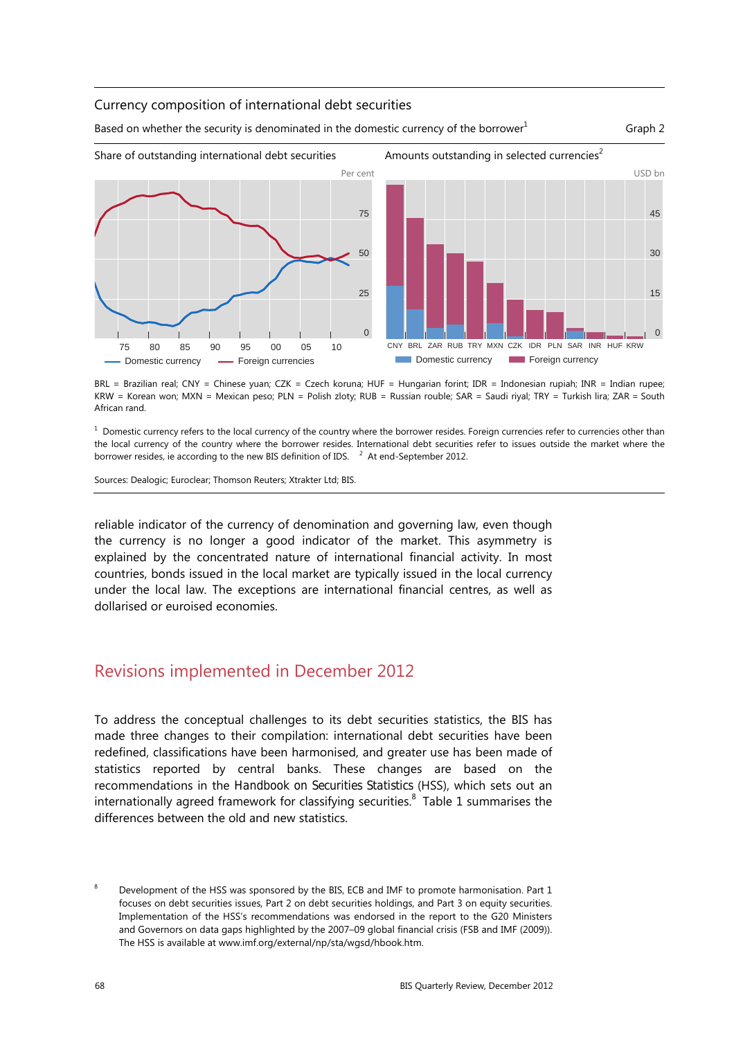#### Currency composition of international debt securities

Based on whether the security is denominated in the domestic currency of the borrower<sup>1</sup>

Graph 2



BRL = Brazilian real; CNY = Chinese yuan; CZK = Czech koruna; HUF = Hungarian forint; IDR = Indonesian rupiah; INR = Indian rupee; KRW = Korean won; MXN = Mexican peso; PLN = Polish zloty; RUB = Russian rouble; SAR = Saudi riyal; TRY = Turkish lira; ZAR = South African rand.

 $^{\rm 1}$  Domestic currency refers to the local currency of the country where the borrower resides. Foreign currencies refer to currencies other than the local currency of the country where the borrower resides. International debt securities refer to issues outside the market where the borrower resides, ie according to the new BIS definition of IDS.  $^{-2}$  At end-September 2012.

Sources: Dealogic; Euroclear; Thomson Reuters; Xtrakter Ltd; BIS.

reliable indicator of the currency of denomination and governing law, even though the currency is no longer a good indicator of the market. This asymmetry is explained by the concentrated nature of international financial activity. In most countries, bonds issued in the local market are typically issued in the local currency under the local law. The exceptions are international financial centres, as well as dollarised or euroised economies.

## Revisions implemented in December 2012

To address the conceptual challenges to its debt securities statistics, the BIS has made three changes to their compilation: international debt securities have been redefined, classifications have been harmonised, and greater use has been made of statistics reported by central banks. These changes are based on the recommendations in the *Handbook on Securities Statistics* (HSS), which sets out an internationally agreed framework for classifying securities. $8\,$  Table 1 summarises the differences between the old and new statistics.

<sup>8</sup> Development of the HSS was sponsored by the BIS, ECB and IMF to promote harmonisation. Part 1 focuses on debt securities issues, Part 2 on debt securities holdings, and Part 3 on equity securities. Implementation of the HSS's recommendations was endorsed in the report to the G20 Ministers and Governors on data gaps highlighted by the 2007–09 global financial crisis (FSB and IMF (2009)). The HSS is available at www.imf.org/external/np/sta/wgsd/hbook.htm.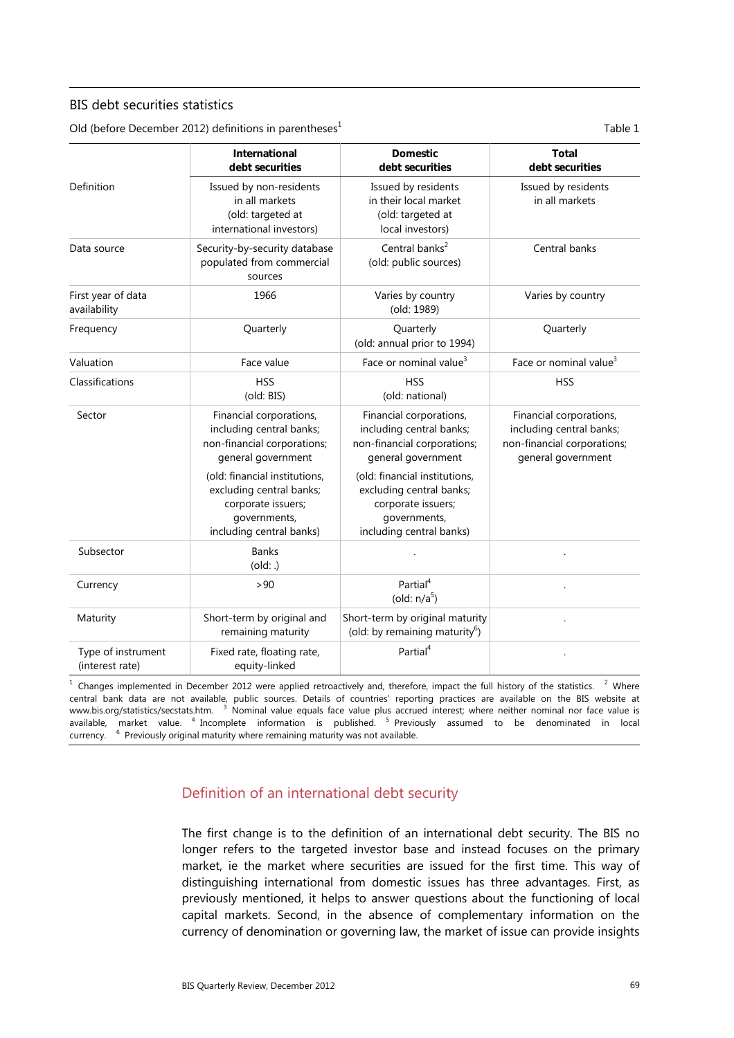#### BIS debt securities statistics

Old (before December 2012) definitions in parentheses $<sup>1</sup>$ </sup>

Table 1

|                                       | <b>International</b><br>debt securities                                                                                     | <b>Domestic</b><br>debt securities                                                                                          | <b>Total</b><br>debt securities                                                                          |
|---------------------------------------|-----------------------------------------------------------------------------------------------------------------------------|-----------------------------------------------------------------------------------------------------------------------------|----------------------------------------------------------------------------------------------------------|
| Definition                            | Issued by non-residents<br>in all markets<br>(old: targeted at<br>international investors)                                  | Issued by residents<br>in their local market<br>(old: targeted at<br>local investors)                                       | Issued by residents<br>in all markets                                                                    |
| Data source                           | Security-by-security database<br>populated from commercial<br>sources                                                       | Central banks <sup>2</sup><br>(old: public sources)                                                                         | Central banks                                                                                            |
| First year of data<br>availability    | 1966                                                                                                                        | Varies by country<br>(old: 1989)                                                                                            | Varies by country                                                                                        |
| Frequency                             | Quarterly                                                                                                                   | Quarterly<br>(old: annual prior to 1994)                                                                                    | Quarterly                                                                                                |
| Valuation                             | Face value                                                                                                                  | Face or nominal value <sup>3</sup>                                                                                          | Face or nominal value <sup>3</sup>                                                                       |
| Classifications                       | <b>HSS</b><br>(old: BIS)                                                                                                    | <b>HSS</b><br>(old: national)                                                                                               | <b>HSS</b>                                                                                               |
| Sector                                | Financial corporations,<br>including central banks;<br>non-financial corporations;<br>general government                    | Financial corporations,<br>including central banks;<br>non-financial corporations;<br>general government                    | Financial corporations,<br>including central banks;<br>non-financial corporations;<br>general government |
|                                       | (old: financial institutions,<br>excluding central banks;<br>corporate issuers;<br>governments,<br>including central banks) | (old: financial institutions,<br>excluding central banks;<br>corporate issuers;<br>governments,<br>including central banks) |                                                                                                          |
| Subsector                             | <b>Banks</b><br>(old:.)                                                                                                     |                                                                                                                             |                                                                                                          |
| Currency                              | >90                                                                                                                         | Partial <sup>4</sup><br>(old: $n/a5$ )                                                                                      |                                                                                                          |
| Maturity                              | Short-term by original and<br>remaining maturity                                                                            | Short-term by original maturity<br>(old: by remaining maturity <sup>6</sup> )                                               |                                                                                                          |
| Type of instrument<br>(interest rate) | Fixed rate, floating rate,<br>equity-linked                                                                                 | Partial <sup>4</sup>                                                                                                        |                                                                                                          |

 $1$  Changes implemented in December 2012 were applied retroactively and, therefore, impact the full history of the statistics.  $2$  Where central bank data are not available, public sources. Details of countries' reporting practices are available on the BIS website at www.bis.org/statistics/secstats.htm. <sup>3</sup> Nominal value equals face value plus accrued interest; where neither nominal nor face value is available, market value. <sup>4</sup> Incomplete information is published. <sup>5</sup> Previously assumed to be denominated in local currency. <sup>6</sup> Previously original maturity where remaining maturity was not available.

### Definition of an international debt security

The first change is to the definition of an international debt security. The BIS no longer refers to the targeted investor base and instead focuses on the primary market, ie the market where securities are issued for the first time. This way of distinguishing international from domestic issues has three advantages. First, as previously mentioned, it helps to answer questions about the functioning of local capital markets. Second, in the absence of complementary information on the currency of denomination or governing law, the market of issue can provide insights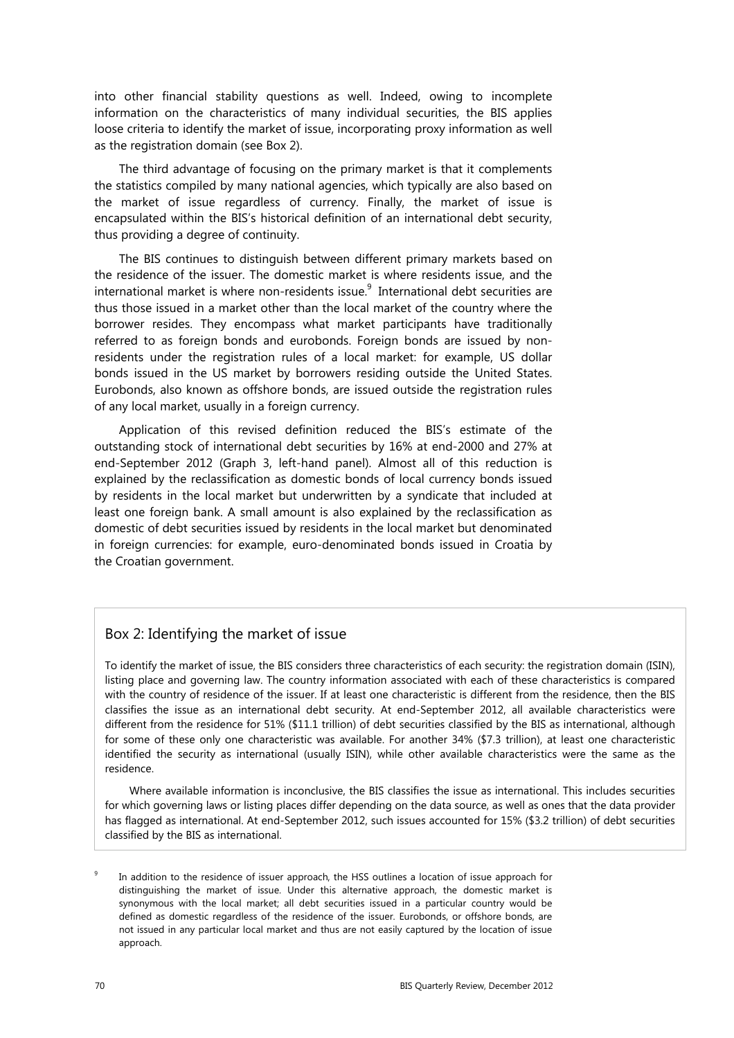into other financial stability questions as well. Indeed, owing to incomplete information on the characteristics of many individual securities, the BIS applies loose criteria to identify the market of issue, incorporating proxy information as well as the registration domain (see Box 2).

The third advantage of focusing on the primary market is that it complements the statistics compiled by many national agencies, which typically are also based on the market of issue regardless of currency. Finally, the market of issue is encapsulated within the BIS's historical definition of an international debt security, thus providing a degree of continuity.

The BIS continues to distinguish between different primary markets based on the residence of the issuer. The domestic market is where residents issue, and the international market is where non-residents issue. $^{9}$  International debt securities are thus those issued in a market other than the local market of the country where the borrower resides. They encompass what market participants have traditionally referred to as foreign bonds and eurobonds. Foreign bonds are issued by nonresidents under the registration rules of a local market: for example, US dollar bonds issued in the US market by borrowers residing outside the United States. Eurobonds, also known as offshore bonds, are issued outside the registration rules of any local market, usually in a foreign currency.

Application of this revised definition reduced the BIS's estimate of the outstanding stock of international debt securities by 16% at end-2000 and 27% at end-September 2012 (Graph 3, left-hand panel). Almost all of this reduction is explained by the reclassification as domestic bonds of local currency bonds issued by residents in the local market but underwritten by a syndicate that included at least one foreign bank. A small amount is also explained by the reclassification as domestic of debt securities issued by residents in the local market but denominated in foreign currencies: for example, euro-denominated bonds issued in Croatia by the Croatian government.

#### Box 2: Identifying the market of issue

To identify the market of issue, the BIS considers three characteristics of each security: the registration domain (ISIN), listing place and governing law. The country information associated with each of these characteristics is compared with the country of residence of the issuer. If at least one characteristic is different from the residence, then the BIS classifies the issue as an international debt security. At end-September 2012, all available characteristics were different from the residence for 51% (\$11.1 trillion) of debt securities classified by the BIS as international, although for some of these only one characteristic was available. For another 34% (\$7.3 trillion), at least one characteristic identified the security as international (usually ISIN), while other available characteristics were the same as the residence.

Where available information is inconclusive, the BIS classifies the issue as international. This includes securities for which governing laws or listing places differ depending on the data source, as well as ones that the data provider has flagged as international. At end-September 2012, such issues accounted for 15% (\$3.2 trillion) of debt securities classified by the BIS as international.

9 In addition to the residence of issuer approach, the HSS outlines a location of issue approach for distinguishing the market of issue. Under this alternative approach, the domestic market is synonymous with the local market; all debt securities issued in a particular country would be defined as domestic regardless of the residence of the issuer. Eurobonds, or offshore bonds, are not issued in any particular local market and thus are not easily captured by the location of issue approach.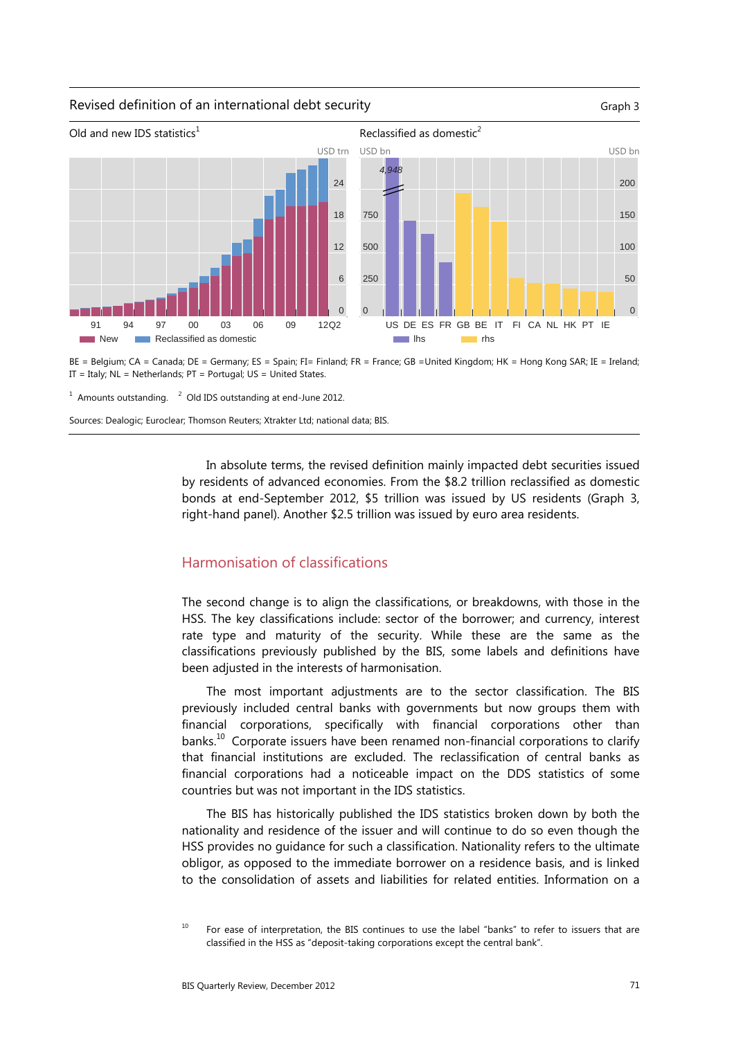#### Revised definition of an international debt security Graph 3 Graph 3



BE = Belgium; CA = Canada; DE = Germany; ES = Spain; FI= Finland; FR = France; GB =United Kingdom; HK = Hong Kong SAR; IE = Ireland; IT = Italy;  $NL = Netherlands$ ;  $PT = Portugal$ ;  $US = United States$ .

 $1$  Amounts outstanding.  $2$  Old IDS outstanding at end-June 2012.

Sources: Dealogic; Euroclear; Thomson Reuters; Xtrakter Ltd; national data; BIS.

In absolute terms, the revised definition mainly impacted debt securities issued by residents of advanced economies. From the \$8.2 trillion reclassified as domestic bonds at end-September 2012, \$5 trillion was issued by US residents (Graph 3, right-hand panel). Another \$2.5 trillion was issued by euro area residents.

### Harmonisation of classifications

The second change is to align the classifications, or breakdowns, with those in the HSS. The key classifications include: sector of the borrower; and currency, interest rate type and maturity of the security. While these are the same as the classifications previously published by the BIS, some labels and definitions have been adjusted in the interests of harmonisation.

The most important adjustments are to the sector classification. The BIS previously included central banks with governments but now groups them with financial corporations, specifically with financial corporations other than banks. $10$  Corporate issuers have been renamed non-financial corporations to clarify that financial institutions are excluded. The reclassification of central banks as financial corporations had a noticeable impact on the DDS statistics of some countries but was not important in the IDS statistics.

The BIS has historically published the IDS statistics broken down by both the nationality and residence of the issuer and will continue to do so even though the HSS provides no guidance for such a classification. Nationality refers to the ultimate obligor, as opposed to the immediate borrower on a residence basis, and is linked to the consolidation of assets and liabilities for related entities. Information on a

<sup>&</sup>lt;sup>10</sup> For ease of interpretation, the BIS continues to use the label "banks" to refer to issuers that are classified in the HSS as "deposit-taking corporations except the central bank".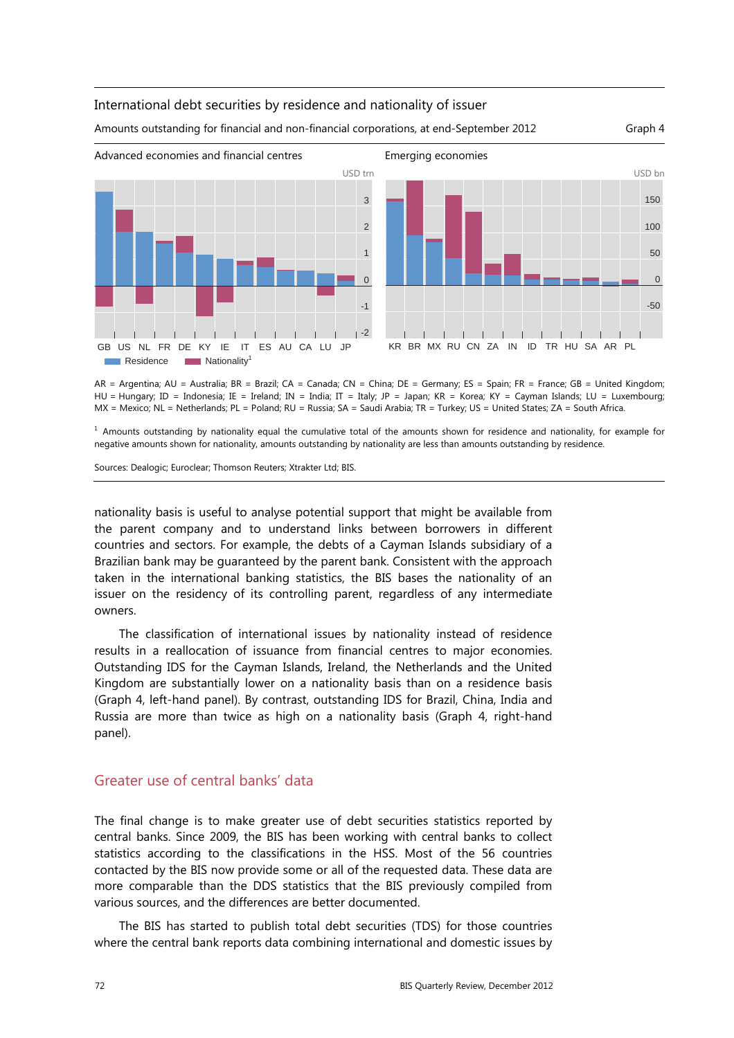

#### International debt securities by residence and nationality of issuer

Amounts outstanding for financial and non-financial corporations, at end-September 2012 Graph 4

AR = Argentina; AU = Australia; BR = Brazil; CA = Canada; CN = China; DE = Germany; ES = Spain; FR = France; GB = United Kingdom; HU = Hungary; ID = Indonesia; IE = Ireland; IN = India; IT = Italy; JP = Japan; KR = Korea; KY = Cayman Islands; LU = Luxembourg;

MX = Mexico; NL = Netherlands; PL = Poland; RU = Russia; SA = Saudi Arabia; TR = Turkey; US = United States; ZA = South Africa.

<sup>1</sup> Amounts outstanding by nationality equal the cumulative total of the amounts shown for residence and nationality, for example for negative amounts shown for nationality, amounts outstanding by nationality are less than amounts outstanding by residence.

Sources: Dealogic; Euroclear; Thomson Reuters; Xtrakter Ltd; BIS.

nationality basis is useful to analyse potential support that might be available from the parent company and to understand links between borrowers in different countries and sectors. For example, the debts of a Cayman Islands subsidiary of a Brazilian bank may be guaranteed by the parent bank. Consistent with the approach taken in the international banking statistics, the BIS bases the nationality of an issuer on the residency of its controlling parent, regardless of any intermediate owners.

The classification of international issues by nationality instead of residence results in a reallocation of issuance from financial centres to major economies. Outstanding IDS for the Cayman Islands, Ireland, the Netherlands and the United Kingdom are substantially lower on a nationality basis than on a residence basis (Graph 4, left-hand panel). By contrast, outstanding IDS for Brazil, China, India and Russia are more than twice as high on a nationality basis (Graph 4, right-hand panel).

## Greater use of central banks' data

The final change is to make greater use of debt securities statistics reported by central banks. Since 2009, the BIS has been working with central banks to collect statistics according to the classifications in the HSS. Most of the 56 countries contacted by the BIS now provide some or all of the requested data. These data are more comparable than the DDS statistics that the BIS previously compiled from various sources, and the differences are better documented.

The BIS has started to publish total debt securities (TDS) for those countries where the central bank reports data combining international and domestic issues by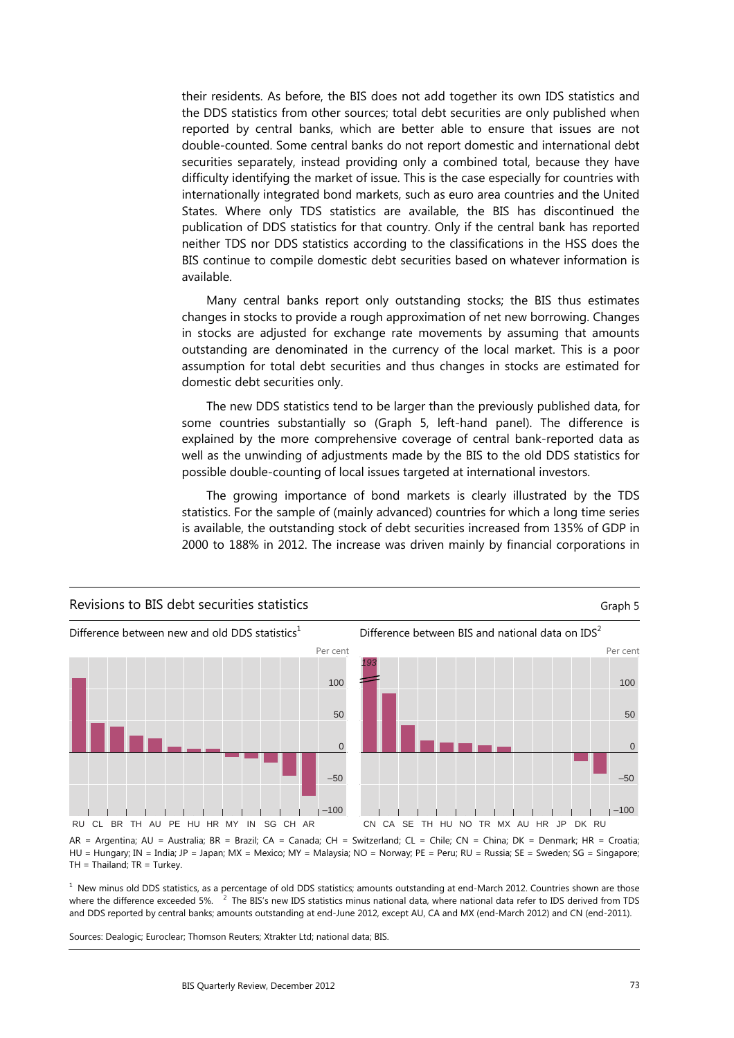their residents. As before, the BIS does not add together its own IDS statistics and the DDS statistics from other sources; total debt securities are only published when reported by central banks, which are better able to ensure that issues are not double-counted. Some central banks do not report domestic and international debt securities separately, instead providing only a combined total, because they have difficulty identifying the market of issue. This is the case especially for countries with internationally integrated bond markets, such as euro area countries and the United States. Where only TDS statistics are available, the BIS has discontinued the publication of DDS statistics for that country. Only if the central bank has reported neither TDS nor DDS statistics according to the classifications in the HSS does the BIS continue to compile domestic debt securities based on whatever information is available.

Many central banks report only outstanding stocks; the BIS thus estimates changes in stocks to provide a rough approximation of net new borrowing. Changes in stocks are adjusted for exchange rate movements by assuming that amounts outstanding are denominated in the currency of the local market. This is a poor assumption for total debt securities and thus changes in stocks are estimated for domestic debt securities only.

The new DDS statistics tend to be larger than the previously published data, for some countries substantially so (Graph 5, left-hand panel). The difference is explained by the more comprehensive coverage of central bank-reported data as well as the unwinding of adjustments made by the BIS to the old DDS statistics for possible double-counting of local issues targeted at international investors.

The growing importance of bond markets is clearly illustrated by the TDS statistics. For the sample of (mainly advanced) countries for which a long time series is available, the outstanding stock of debt securities increased from 135% of GDP in 2000 to 188% in 2012. The increase was driven mainly by financial corporations in



AR = Argentina; AU = Australia; BR = Brazil; CA = Canada; CH = Switzerland; CL = Chile; CN = China; DK = Denmark; HR = Croatia; HU = Hungary; IN = India; JP = Japan; MX = Mexico; MY = Malaysia; NO = Norway; PE = Peru; RU = Russia; SE = Sweden; SG = Singapore;  $TH = Thailand$ ;  $TR = Turkey$ .

 $<sup>1</sup>$  New minus old DDS statistics, as a percentage of old DDS statistics; amounts outstanding at end-March 2012. Countries shown are those</sup> where the difference exceeded 5%.  $\overline{P}$  The BIS's new IDS statistics minus national data, where national data refer to IDS derived from TDS and DDS reported by central banks; amounts outstanding at end-June 2012, except AU, CA and MX (end-March 2012) and CN (end-2011).

Sources: Dealogic; Euroclear; Thomson Reuters; Xtrakter Ltd; national data; BIS.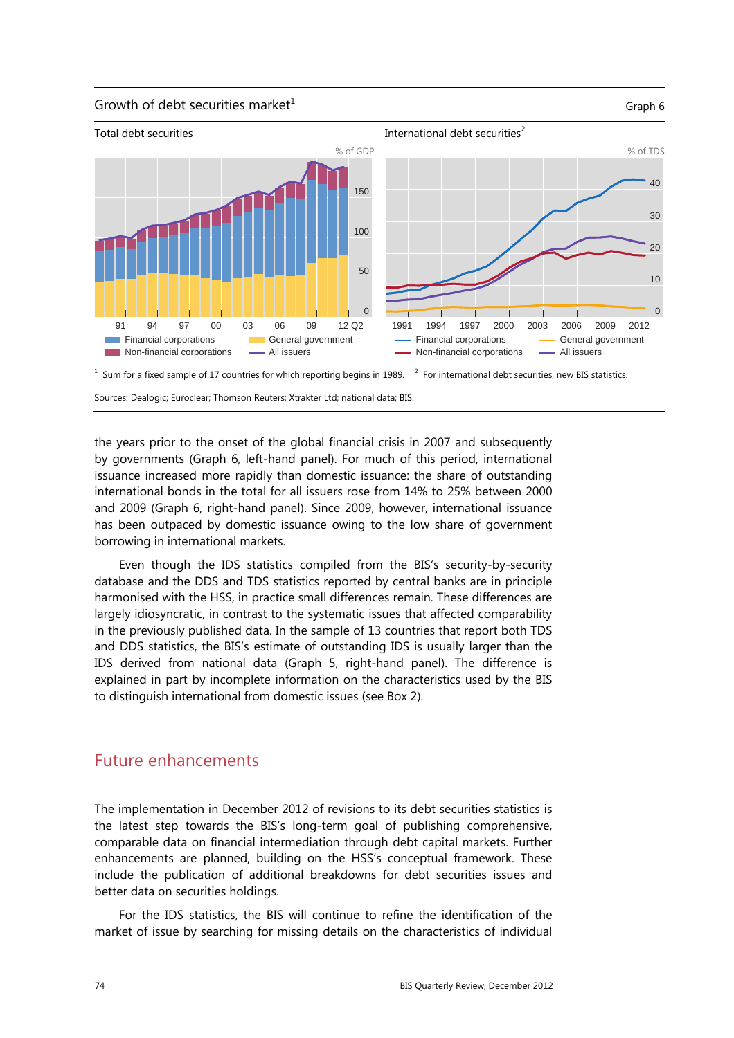#### Growth of debt securities market<sup>1</sup>  $G$ raph 6



 $1$  Sum for a fixed sample of 17 countries for which reporting begins in 1989.  $2$  $2$  For international debt securities, new BIS statistics.

Sources: Dealogic; Euroclear; Thomson Reuters; Xtrakter Ltd; national data; BIS.

the years prior to the onset of the global financial crisis in 2007 and subsequently by governments (Graph 6, left-hand panel). For much of this period, international issuance increased more rapidly than domestic issuance: the share of outstanding international bonds in the total for all issuers rose from 14% to 25% between 2000 and 2009 (Graph 6, right-hand panel). Since 2009, however, international issuance has been outpaced by domestic issuance owing to the low share of government borrowing in international markets.

Even though the IDS statistics compiled from the BIS's security-by-security database and the DDS and TDS statistics reported by central banks are in principle harmonised with the HSS, in practice small differences remain. These differences are largely idiosyncratic, in contrast to the systematic issues that affected comparability in the previously published data. In the sample of 13 countries that report both TDS and DDS statistics, the BIS's estimate of outstanding IDS is usually larger than the IDS derived from national data (Graph 5, right-hand panel). The difference is explained in part by incomplete information on the characteristics used by the BIS to distinguish international from domestic issues (see Box 2).

### Future enhancements

The implementation in December 2012 of revisions to its debt securities statistics is the latest step towards the BIS's long-term goal of publishing comprehensive, comparable data on financial intermediation through debt capital markets. Further enhancements are planned, building on the HSS's conceptual framework. These include the publication of additional breakdowns for debt securities issues and better data on securities holdings.

For the IDS statistics, the BIS will continue to refine the identification of the market of issue by searching for missing details on the characteristics of individual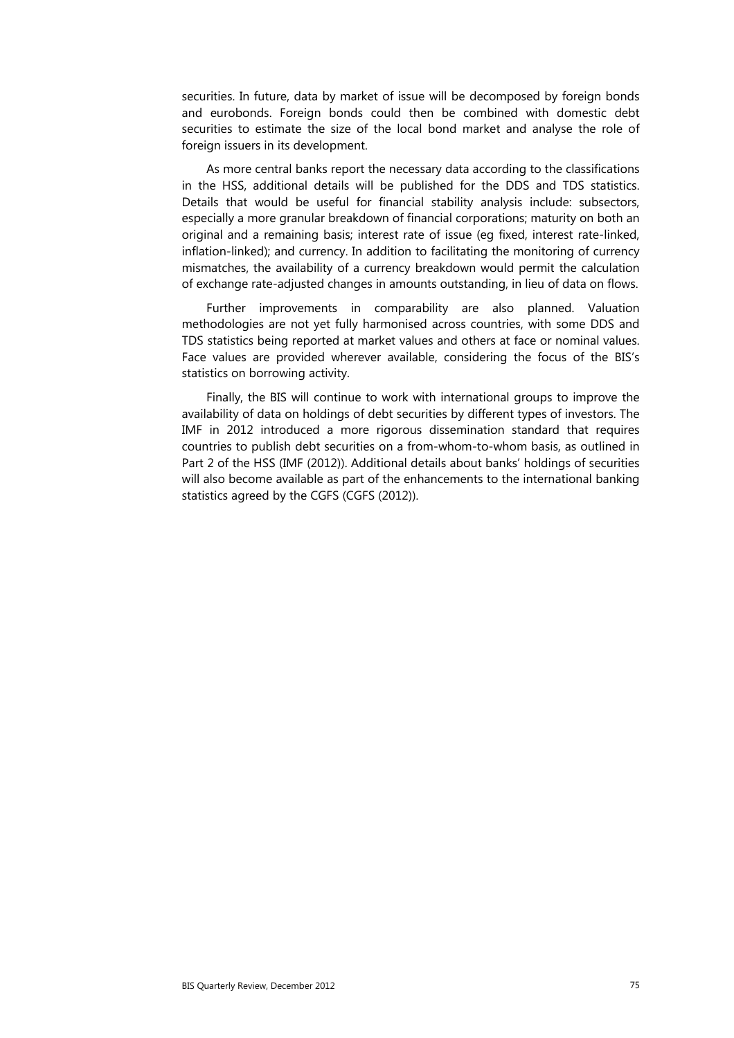securities. In future, data by market of issue will be decomposed by foreign bonds and eurobonds. Foreign bonds could then be combined with domestic debt securities to estimate the size of the local bond market and analyse the role of foreign issuers in its development.

As more central banks report the necessary data according to the classifications in the HSS, additional details will be published for the DDS and TDS statistics. Details that would be useful for financial stability analysis include: subsectors, especially a more granular breakdown of financial corporations; maturity on both an original and a remaining basis; interest rate of issue (eg fixed, interest rate-linked, inflation-linked); and currency. In addition to facilitating the monitoring of currency mismatches, the availability of a currency breakdown would permit the calculation of exchange rate-adjusted changes in amounts outstanding, in lieu of data on flows.

Further improvements in comparability are also planned. Valuation methodologies are not yet fully harmonised across countries, with some DDS and TDS statistics being reported at market values and others at face or nominal values. Face values are provided wherever available, considering the focus of the BIS's statistics on borrowing activity.

Finally, the BIS will continue to work with international groups to improve the availability of data on holdings of debt securities by different types of investors. The IMF in 2012 introduced a more rigorous dissemination standard that requires countries to publish debt securities on a from-whom-to-whom basis, as outlined in Part 2 of the HSS (IMF (2012)). Additional details about banks' holdings of securities will also become available as part of the enhancements to the international banking statistics agreed by the CGFS (CGFS (2012)).